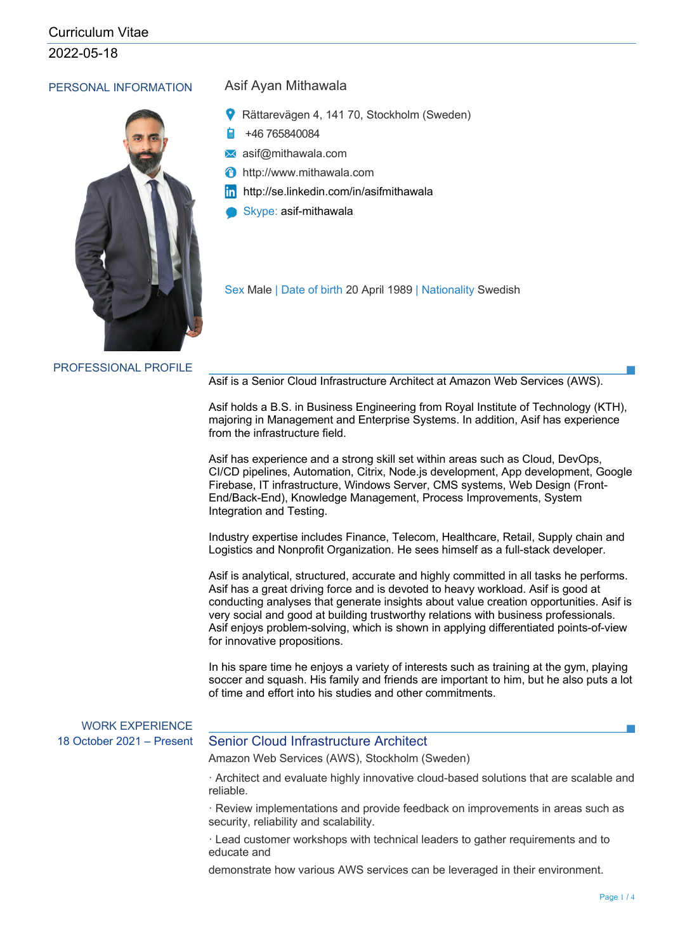2022-05-18

#### PERSONAL INFORMATION Asif Ayan Mithawala



- Rättarevägen 4, 141 70, Stockholm (Sweden)
- +46 765840084
- asif@mithawala.com
- http://www.mithawala.com
- http://se.linkedin.com/in/asifmithawala
- Skype: asif-mithawala

Sex Male | Date of birth 20 April 1989 | Nationality Swedish

PROFESSIONAL PROFILE

Asif is a Senior Cloud Infrastructure Architect at Amazon Web Services (AWS).

Asif holds a B.S. in Business Engineering from Royal Institute of Technology (KTH), majoring in Management and Enterprise Systems. In addition, Asif has experience from the infrastructure field.

Asif has experience and a strong skill set within areas such as Cloud, DevOps, CI/CD pipelines, Automation, Citrix, Node.js development, App development, Google Firebase, IT infrastructure, Windows Server, CMS systems, Web Design (Front-End/Back-End), Knowledge Management, Process Improvements, System Integration and Testing.

Industry expertise includes Finance, Telecom, Healthcare, Retail, Supply chain and Logistics and Nonprofit Organization. He sees himself as a full-stack developer.

Asif is analytical, structured, accurate and highly committed in all tasks he performs. Asif has a great driving force and is devoted to heavy workload. Asif is good at conducting analyses that generate insights about value creation opportunities. Asif is very social and good at building trustworthy relations with business professionals. Asif enjoys problem-solving, which is shown in applying differentiated points-of-view for innovative propositions.

In his spare time he enjoys a variety of interests such as training at the gym, playing soccer and squash. His family and friends are important to him, but he also puts a lot of time and effort into his studies and other commitments.

# WORK EXPERIENCE

### 18 October 2021 – Present Senior Cloud Infrastructure Architect

Amazon Web Services (AWS), Stockholm (Sweden)

· Architect and evaluate highly innovative cloud-based solutions that are scalable and reliable.

· Review implementations and provide feedback on improvements in areas such as security, reliability and scalability.

· Lead customer workshops with technical leaders to gather requirements and to educate and

demonstrate how various AWS services can be leveraged in their environment.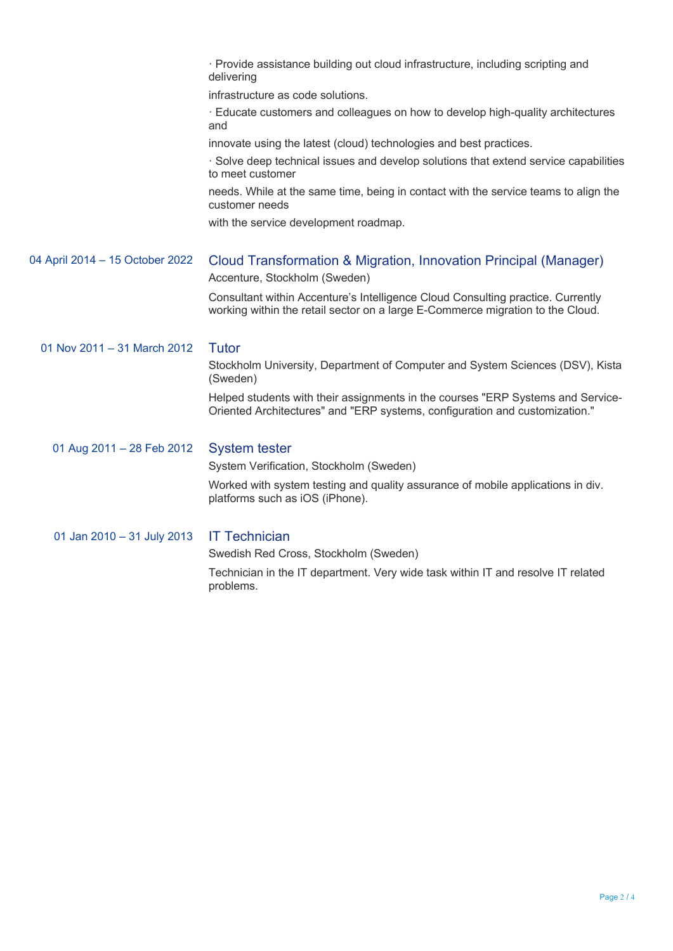|                                 | · Provide assistance building out cloud infrastructure, including scripting and<br>delivering                                                                     |
|---------------------------------|-------------------------------------------------------------------------------------------------------------------------------------------------------------------|
|                                 | infrastructure as code solutions.                                                                                                                                 |
|                                 | Educate customers and colleagues on how to develop high-quality architectures<br>and                                                                              |
|                                 | innovate using the latest (cloud) technologies and best practices.                                                                                                |
|                                 | · Solve deep technical issues and develop solutions that extend service capabilities<br>to meet customer                                                          |
|                                 | needs. While at the same time, being in contact with the service teams to align the<br>customer needs                                                             |
|                                 | with the service development roadmap.                                                                                                                             |
| 04 April 2014 - 15 October 2022 | Cloud Transformation & Migration, Innovation Principal (Manager)<br>Accenture, Stockholm (Sweden)                                                                 |
|                                 | Consultant within Accenture's Intelligence Cloud Consulting practice. Currently<br>working within the retail sector on a large E-Commerce migration to the Cloud. |
| 01 Nov 2011 - 31 March 2012     | <b>Tutor</b>                                                                                                                                                      |
|                                 | Stockholm University, Department of Computer and System Sciences (DSV), Kista<br>(Sweden)                                                                         |
|                                 | Helped students with their assignments in the courses "ERP Systems and Service-<br>Oriented Architectures" and "ERP systems, configuration and customization."    |
| 01 Aug 2011 - 28 Feb 2012       | <b>System tester</b>                                                                                                                                              |
|                                 | System Verification, Stockholm (Sweden)                                                                                                                           |
|                                 | Worked with system testing and quality assurance of mobile applications in div.<br>platforms such as iOS (iPhone).                                                |
| 01 Jan 2010 - 31 July 2013      | <b>IT Technician</b>                                                                                                                                              |
|                                 | Swedish Red Cross, Stockholm (Sweden)                                                                                                                             |
|                                 | Technician in the IT department. Very wide task within IT and resolve IT related<br>problems.                                                                     |
|                                 |                                                                                                                                                                   |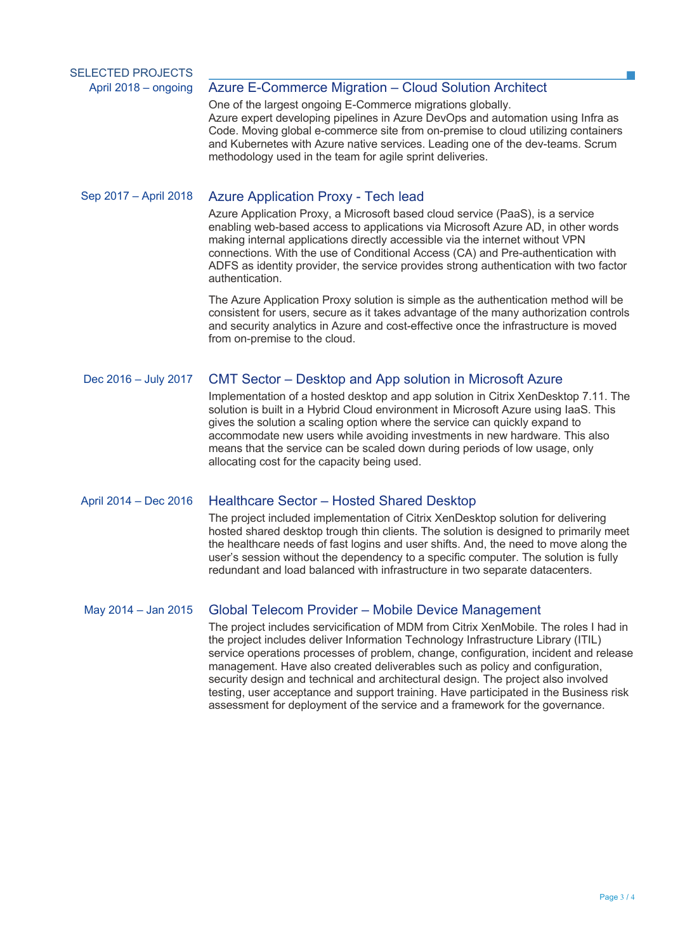#### April 2018 – ongoing Azure E-Commerce Migration – Cloud Solution Architect

One of the largest ongoing E-Commerce migrations globally. Azure expert developing pipelines in Azure DevOps and automation using Infra as Code. Moving global e-commerce site from on-premise to cloud utilizing containers and Kubernetes with Azure native services. Leading one of the dev-teams. Scrum methodology used in the team for agile sprint deliveries.

#### Sep 2017 – April 2018 Azure Application Proxy - Tech lead

Azure Application Proxy, a Microsoft based cloud service (PaaS), is a service enabling web-based access to applications via Microsoft Azure AD, in other words making internal applications directly accessible via the internet without VPN connections. With the use of Conditional Access (CA) and Pre-authentication with ADFS as identity provider, the service provides strong authentication with two factor authentication.

The Azure Application Proxy solution is simple as the authentication method will be consistent for users, secure as it takes advantage of the many authorization controls and security analytics in Azure and cost-effective once the infrastructure is moved from on-premise to the cloud.

#### Dec 2016 – July 2017 CMT Sector – Desktop and App solution in Microsoft Azure

Implementation of a hosted desktop and app solution in Citrix XenDesktop 7.11. The solution is built in a Hybrid Cloud environment in Microsoft Azure using IaaS. This gives the solution a scaling option where the service can quickly expand to accommodate new users while avoiding investments in new hardware. This also means that the service can be scaled down during periods of low usage, only allocating cost for the capacity being used.

#### April 2014 – Dec 2016 Healthcare Sector – Hosted Shared Desktop

The project included implementation of Citrix XenDesktop solution for delivering hosted shared desktop trough thin clients. The solution is designed to primarily meet the healthcare needs of fast logins and user shifts. And, the need to move along the user's session without the dependency to a specific computer. The solution is fully redundant and load balanced with infrastructure in two separate datacenters.

#### May 2014 – Jan 2015 Global Telecom Provider – Mobile Device Management

The project includes servicification of MDM from Citrix XenMobile. The roles I had in the project includes deliver Information Technology Infrastructure Library (ITIL) service operations processes of problem, change, configuration, incident and release management. Have also created deliverables such as policy and configuration, security design and technical and architectural design. The project also involved testing, user acceptance and support training. Have participated in the Business risk assessment for deployment of the service and a framework for the governance.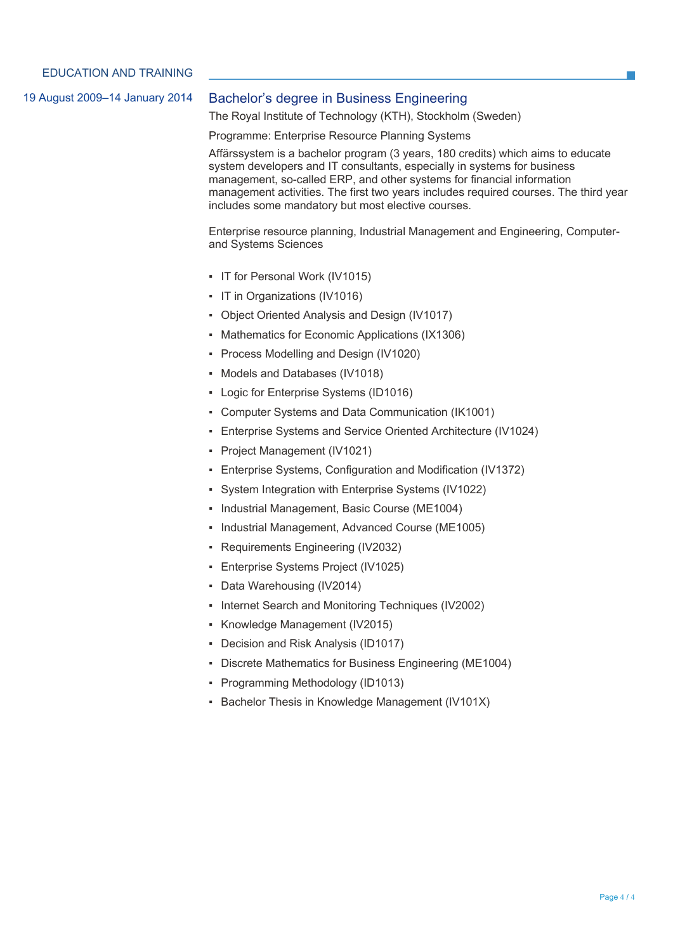#### 19 August 2009–14 January 2014 Bachelor's degree in Business Engineering

The Royal Institute of Technology (KTH), Stockholm (Sweden)

Programme: Enterprise Resource Planning Systems

Affärssystem is a bachelor program (3 years, 180 credits) which aims to educate system developers and IT consultants, especially in systems for business management, so-called ERP, and other systems for financial information management activities. The first two years includes required courses. The third year includes some mandatory but most elective courses.

Enterprise resource planning, Industrial Management and Engineering, Computerand Systems Sciences

- IT for Personal Work (IV1015)
- IT in Organizations (IV1016)
- Object Oriented Analysis and Design (IV1017)
- Mathematics for Economic Applications (IX1306)
- Process Modelling and Design (IV1020)
- Models and Databases (IV1018)
- Logic for Enterprise Systems (ID1016)
- Computer Systems and Data Communication (IK1001)
- Enterprise Systems and Service Oriented Architecture (IV1024)
- Project Management (IV1021)
- Enterprise Systems, Configuration and Modification (IV1372)
- System Integration with Enterprise Systems (IV1022)
- Industrial Management, Basic Course (ME1004)
- Industrial Management, Advanced Course (ME1005)
- Requirements Engineering (IV2032)
- Enterprise Systems Project (IV1025)
- Data Warehousing (IV2014)
- Internet Search and Monitoring Techniques (IV2002)
- Knowledge Management (IV2015)
- Decision and Risk Analysis (ID1017)
- Discrete Mathematics for Business Engineering (ME1004)
- Programming Methodology (ID1013)
- Bachelor Thesis in Knowledge Management (IV101X)